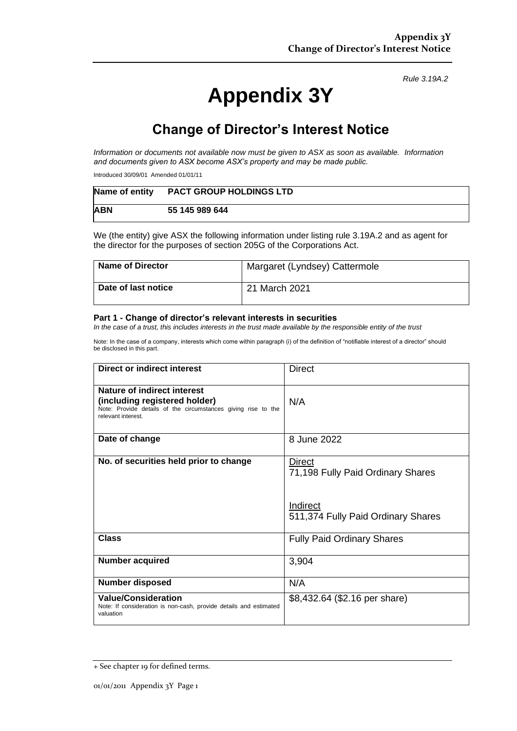*Rule 3.19A.2*

# **Appendix 3Y**

# **Change of Director's Interest Notice**

*Information or documents not available now must be given to ASX as soon as available. Information and documents given to ASX become ASX's property and may be made public.*

Introduced 30/09/01 Amended 01/01/11

| Name of entity | <b>PACT GROUP HOLDINGS LTD</b> |
|----------------|--------------------------------|
| <b>ABN</b>     | 55 145 989 644                 |

We (the entity) give ASX the following information under listing rule 3.19A.2 and as agent for the director for the purposes of section 205G of the Corporations Act.

| <b>Name of Director</b> | Margaret (Lyndsey) Cattermole |
|-------------------------|-------------------------------|
| Date of last notice     | 21 March 2021                 |

#### **Part 1 - Change of director's relevant interests in securities**

*In the case of a trust, this includes interests in the trust made available by the responsible entity of the trust*

Note: In the case of a company, interests which come within paragraph (i) of the definition of "notifiable interest of a director" should be disclosed in this part.

| <b>Direct or indirect interest</b>                                                                                                                  | <b>Direct</b>                                                                                        |  |
|-----------------------------------------------------------------------------------------------------------------------------------------------------|------------------------------------------------------------------------------------------------------|--|
| Nature of indirect interest<br>(including registered holder)<br>Note: Provide details of the circumstances giving rise to the<br>relevant interest. | N/A                                                                                                  |  |
| Date of change                                                                                                                                      | 8 June 2022                                                                                          |  |
| No. of securities held prior to change                                                                                                              | <b>Direct</b><br>71,198 Fully Paid Ordinary Shares<br>Indirect<br>511,374 Fully Paid Ordinary Shares |  |
| Class                                                                                                                                               | <b>Fully Paid Ordinary Shares</b>                                                                    |  |
| <b>Number acquired</b>                                                                                                                              | 3,904                                                                                                |  |
| <b>Number disposed</b>                                                                                                                              | N/A                                                                                                  |  |
| <b>Value/Consideration</b><br>Note: If consideration is non-cash, provide details and estimated<br>valuation                                        | \$8,432.64 (\$2.16 per share)                                                                        |  |

<sup>+</sup> See chapter 19 for defined terms.